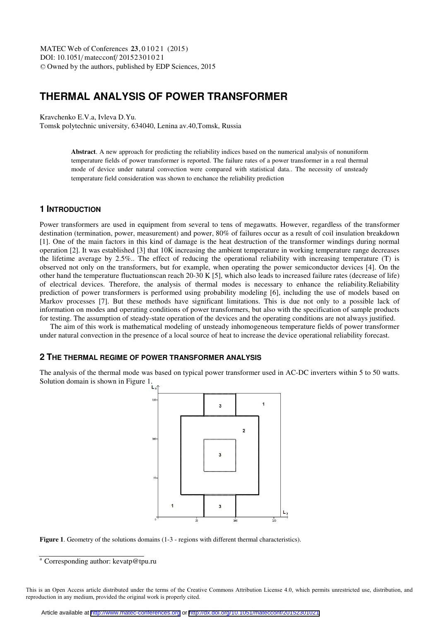# **THERMAL ANALYSIS OF POWER TRANSFORMER**

Kravchenko E.V.a, Ivleva D.Yu.

Tomsk polytechnic university, 634040, Lenina av.40,Tomsk, Russia

**Abstract**. A new approach for predicting the reliability indices based on the numerical analysis of nonuniform temperature fields of power transformer is reported. The failure rates of a power transformer in a real thermal mode of device under natural convection were compared with statistical data.. The necessity of unsteady temperature field consideration was shown to enchance the reliability prediction

## **1 INTRODUCTION**

Power transformers are used in equipment from several to tens of megawatts. However, regardless of the transformer destination (termination, power, measurement) and power, 80% of failures occur as a result of coil insulation breakdown [1]. One of the main factors in this kind of damage is the heat destruction of the transformer windings during normal operation [2]. It was established [3] that 10K increasing the ambient temperature in working temperature range decreases the lifetime average by 2.5%.. The effect of reducing the operational reliability with increasing temperature (T) is observed not only on the transformers, but for example, when operating the power semiconductor devices [4]. On the other hand the temperature fluctuationscan reach 20-30 K [5], which also leads to increased failure rates (decrease of life) of electrical devices. Therefore, the analysis of thermal modes is necessary to enhance the reliability.Reliability prediction of power transformers is performed using probability modeling [6], including the use of models based on Markov processes [7]. But these methods have significant limitations. This is due not only to a possible lack of information on modes and operating conditions of power transformers, but also with the specification of sample products for testing. The assumption of steady-state operation of the devices and the operating conditions are not always justified.

The aim of this work is mathematical modeling of unsteady inhomogeneous temperature fields of power transformer under natural convection in the presence of a local source of heat to increase the device operational reliability forecast.

## **2 THE THERMAL REGIME OF POWER TRANSFORMER ANALYSIS**

The analysis of the thermal mode was based on typical power transformer used in AC-DC inverters within 5 to 50 watts. Solution domain is shown in Figure 1.



**Figure 1.** Geometry of the solutions domains (1-3 - regions with different thermal characteristics).

<sup>&</sup>lt;sup>a</sup> Corresponding author: kevatp@tpu.ru

This is an Open Access article distributed under the terms of the Creative Commons Attribution License 4.0, which permits unrestricted use, distribution, and reproduction in any medium, provided the original work is properly cited.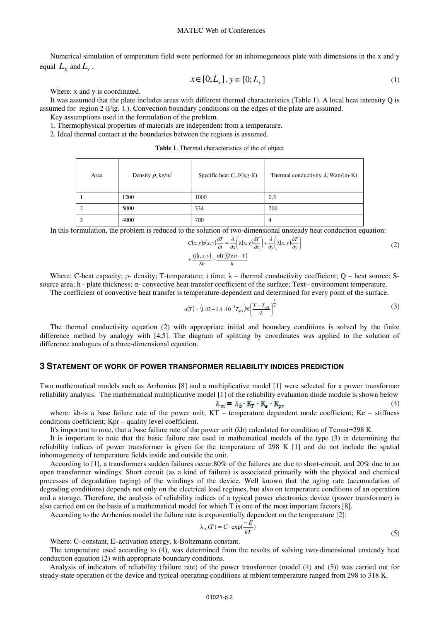Numerical simulation of temperature field were performed for an inhomogeneous plate with dimensions in the x and y equal  $L_X$  and  $L_Y$ .

$$
x \in [0; L_x], y \in [0; L_y]
$$
\n
$$
(1)
$$

Where: x and y is coordinated.

It was assumed that the plate includes areas with different thermal characteristics (Table 1). A local heat intensity Q is assumed for region 2 (Fig. 1.). Convection boundary conditions on the edges of the plate are assumed.

Key assumptions used in the formulation of the problem.

1. Thermophysical properties of materials are independent from a temperature.

2. Ideal thermal contact at the boundaries between the regions is assumed.

**Table 1**. Thermal characteristics of the of object

| Area | Density $\rho$ , kg/m <sup>3</sup> | Specific heat $C$ , $J/(kg \cdot K)$ | Thermal conductivity $\lambda$ , Watt/(m·K) |
|------|------------------------------------|--------------------------------------|---------------------------------------------|
|      | 1200                               | 1000                                 | 0.3                                         |
|      | 5000                               | 334                                  | 200                                         |
|      | 4000                               | 700                                  | 4                                           |

In this formulation, the problem is reduced to the solution of two-dimensional unsteady heat conduction equation:

$$
C(x, y)p(x, y)\frac{\partial T}{\partial t} = \frac{\partial}{\partial x}\left(\lambda(x, y)\frac{\partial T}{\partial x}\right) + \frac{\partial}{\partial y}\left(\lambda(x, y)\frac{\partial T}{\partial y}\right)
$$
  
+ 
$$
\frac{Q(t, x, y)}{Sh} + \frac{\alpha(T)(Text - T)}{h}
$$
 (2)

Where: C-heat capacity;  $\rho$ - density; T-temperature; t time;  $\lambda$  – thermal conductivity coefficient; Q – heat source; Ssource area; h - plate thickness;  $\alpha$ - convective heat transfer coefficient of the surface; Text– environment temperature.

The coefficient of convective heat transfer is temperature-dependent and determined for every point of the surface.

$$
\alpha(T) = \left(1.42 - 1.4 \cdot 10^{-3} T_{\text{avr}}\right) N \left(\frac{T - T_{\text{ext}}}{L}\right)^{\frac{1}{4}}
$$
\n(3)

The thermal conductivity equation (2) with appropriate initial and boundary conditions is solved by the finite difference method by analogy with [4,5]. The diagram of splitting by coordinates was applied to the solution of difference analogues of a three-dimensional equation.

#### **3 STATEMENT OF WORK OF POWER TRANSFORMER RELIABILITY INDICES PREDICTION**

Two mathematical models such as Arrhenius [8] and a multiplicative model [1] were selected for a power transformer reliability analysis. The mathematical multiplicative model [1] of the reliability evaluation diode module is shown below (4)

$$
A_{yy} = A_b \cdot K_T \cdot K_c \cdot K_{pr}
$$

where:  $\lambda$ b-is a base failure rate of the power unit; KT – temperature dependent mode coefficient; Ke – stiffness conditions coefficient; Kpr – quality level coefficient.

It's important to note, that a base failure rate of the power unit  $(\lambda b)$  calculated for condition of Tconst=298 K.

It is important to note that the basic failure rate used in mathematical models of the type (3) in determining the reliability indices of power transformer is given for the temperature of 298 K [1] and do not include the spatial inhomogeneity of temperature fields inside and outside the unit.

According to [1], a transformers sudden failures occur.80% of the failures are due to short-circuit, and 20% due to an open transformer windings. Short circuit (as a kind of failure) is associated primarily with the physical and chemical processes of degradation (aging) of the windings of the device. Well known that the aging rate (accumulation of degrading conditions) depends not only on the electrical load regimes, but also on temperature conditions of an operation and a storage. Therefore, the analysis of reliability indices of a typical power electronics device (power transformer) is also carried out on the basis of a mathematical model for which T is one of the most important factors [8].

According to the Arrhenius model the failure rate is exponentially dependent on the temperature [2]:

$$
\lambda_A(T) = C \cdot \exp(\frac{-E}{kT})
$$
\n(5)

Where: C–constant, E–activation energy, k-Boltzmann constant.

The temperature used according to (4), was determined from the results of solving two-dimensional unsteady heat conduction equation (2) with appropriate boundary conditions.

Analysis of indicators of reliability (failure rate) of the power transformer (model (4) and (5)) was carried out for steady-state operation of the device and typical operating conditions at mbient temperature ranged from 298 to 318 K.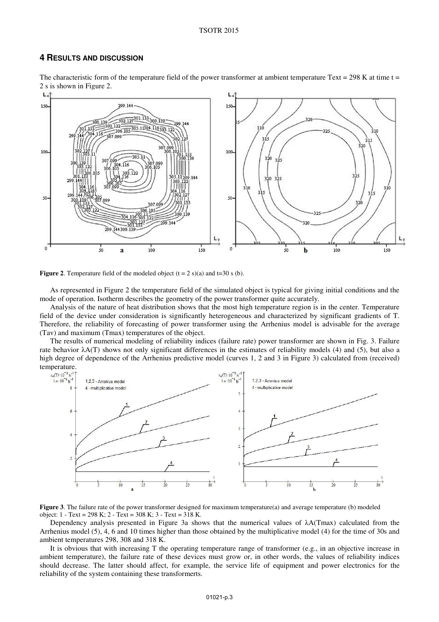### **4 RESULTS AND DISCUSSION**



The characteristic form of the temperature field of the power transformer at ambient temperature Text = 298 K at time  $t =$ 2 s is shown in Figure 2.



As represented in Figure 2 the temperature field of the simulated object is typical for giving initial conditions and the mode of operation. Isotherm describes the geometry of the power transformer quite accurately.

Analysis of the nature of heat distribution shows that the most high temperature region is in the center. Temperature field of the device under consideration is significantly heterogeneous and characterized by significant gradients of T. Therefore, the reliability of forecasting of power transformer using the Arrhenius model is advisable for the average (Tav) and maximum (Tmax) temperatures of the object.

The results of numerical modeling of reliability indices (failure rate) power transformer are shown in Fig. 3. Failure rate behavior  $\lambda A(T)$  shows not only significant differences in the estimates of reliability models (4) and (5), but also a high degree of dependence of the Arrhenius predictive model (curves 1, 2 and 3 in Figure 3) calculated from (received) temperature.



**Figure 3**. The failure rate of the power transformer designed for maximum temperature(a) and average temperature (b) modeled object: 1 - Text = 298 K; 2 - Text = 308 K; 3 - Text = 318 K.

Dependency analysis presented in Figure 3a shows that the numerical values of A(Tmax) calculated from the Arrhenius model (5), 4, 6 and 10 times higher than those obtained by the multiplicative model (4) for the time of 30s and ambient temperatures 298, 308 and 318 K.

It is obvious that with increasing T the operating temperature range of transformer (e.g., in an objective increase in ambient temperature), the failure rate of these devices must grow or, in other words, the values of reliability indices should decrease. The latter should affect, for example, the service life of equipment and power electronics for the reliability of the system containing these transformerts.